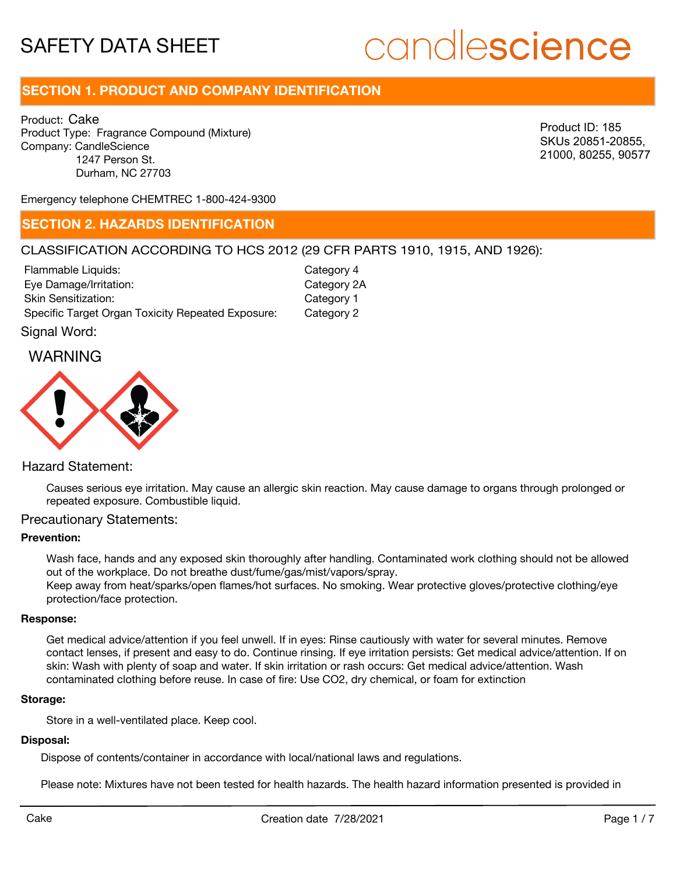# candlescience

# **SECTION 1. PRODUCT AND COMPANY IDENTIFICATION**

Product: Cake Product Type: Fragrance Compound (Mixture) Company: CandleScience 1247 Person St. Durham, NC 27703

Product ID: 185 SKUs 20851-20855, 21000, 80255, 90577

Emergency telephone CHEMTREC 1-800-424-9300

## **SECTION 2. HAZARDS IDENTIFICATION**

#### CLASSIFICATION ACCORDING TO HCS 2012 (29 CFR PARTS 1910, 1915, AND 1926):

| Flammable Liquids:                                | Category 4  |
|---------------------------------------------------|-------------|
| Eye Damage/Irritation:                            | Category 2A |
| <b>Skin Sensitization:</b>                        | Category 1  |
| Specific Target Organ Toxicity Repeated Exposure: | Category 2  |
|                                                   |             |

Signal Word:

#### WARNING



#### Hazard Statement:

Causes serious eye irritation. May cause an allergic skin reaction. May cause damage to organs through prolonged or repeated exposure. Combustible liquid.

#### Precautionary Statements:

#### **Prevention:**

Wash face, hands and any exposed skin thoroughly after handling. Contaminated work clothing should not be allowed out of the workplace. Do not breathe dust/fume/gas/mist/vapors/spray. Keep away from heat/sparks/open flames/hot surfaces. No smoking. Wear protective gloves/protective clothing/eye protection/face protection.

#### **Response:**

Get medical advice/attention if you feel unwell. If in eyes: Rinse cautiously with water for several minutes. Remove contact lenses, if present and easy to do. Continue rinsing. If eye irritation persists: Get medical advice/attention. If on skin: Wash with plenty of soap and water. If skin irritation or rash occurs: Get medical advice/attention. Wash contaminated clothing before reuse. In case of fire: Use CO2, dry chemical, or foam for extinction

#### **Storage:**

Store in a well-ventilated place. Keep cool.

#### **Disposal:**

Dispose of contents/container in accordance with local/national laws and regulations.

Please note: Mixtures have not been tested for health hazards. The health hazard information presented is provided in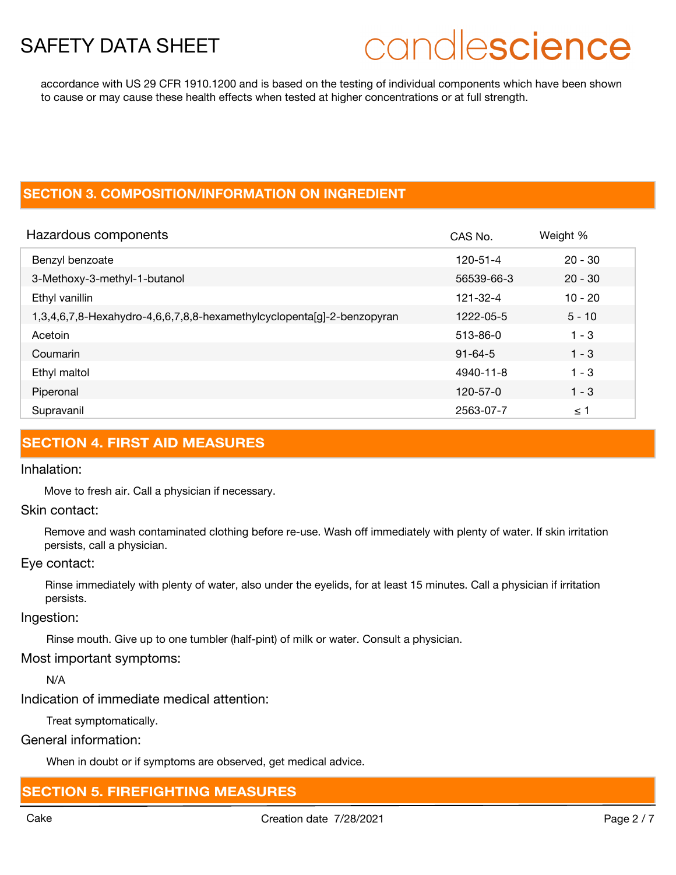# candlescience

accordance with US 29 CFR 1910.1200 and is based on the testing of individual components which have been shown to cause or may cause these health effects when tested at higher concentrations or at full strength.

## **SECTION 3. COMPOSITION/INFORMATION ON INGREDIENT**

| Hazardous components                                                   | CAS No.        | Weight %  |
|------------------------------------------------------------------------|----------------|-----------|
| Benzyl benzoate                                                        | $120 - 51 - 4$ | $20 - 30$ |
| 3-Methoxy-3-methyl-1-butanol                                           | 56539-66-3     | $20 - 30$ |
| Ethyl vanillin                                                         | 121-32-4       | $10 - 20$ |
| 1,3,4,6,7,8-Hexahydro-4,6,6,7,8,8-hexamethylcyclopenta[g]-2-benzopyran | 1222-05-5      | $5 - 10$  |
| Acetoin                                                                | 513-86-0       | $1 - 3$   |
| Coumarin                                                               | $91 - 64 - 5$  | $1 - 3$   |
| Ethyl maltol                                                           | 4940-11-8      | $1 - 3$   |
| Piperonal                                                              | 120-57-0       | $1 - 3$   |
| Supravanil                                                             | 2563-07-7      | ≤ 1       |

## **SECTION 4. FIRST AID MEASURES**

#### Inhalation:

Move to fresh air. Call a physician if necessary.

#### Skin contact:

Remove and wash contaminated clothing before re-use. Wash off immediately with plenty of water. If skin irritation persists, call a physician.

#### Eye contact:

Rinse immediately with plenty of water, also under the eyelids, for at least 15 minutes. Call a physician if irritation persists.

#### Ingestion:

Rinse mouth. Give up to one tumbler (half-pint) of milk or water. Consult a physician.

## Most important symptoms:

N/A

Indication of immediate medical attention:

Treat symptomatically.

General information:

When in doubt or if symptoms are observed, get medical advice.

# **SECTION 5. FIREFIGHTING MEASURES**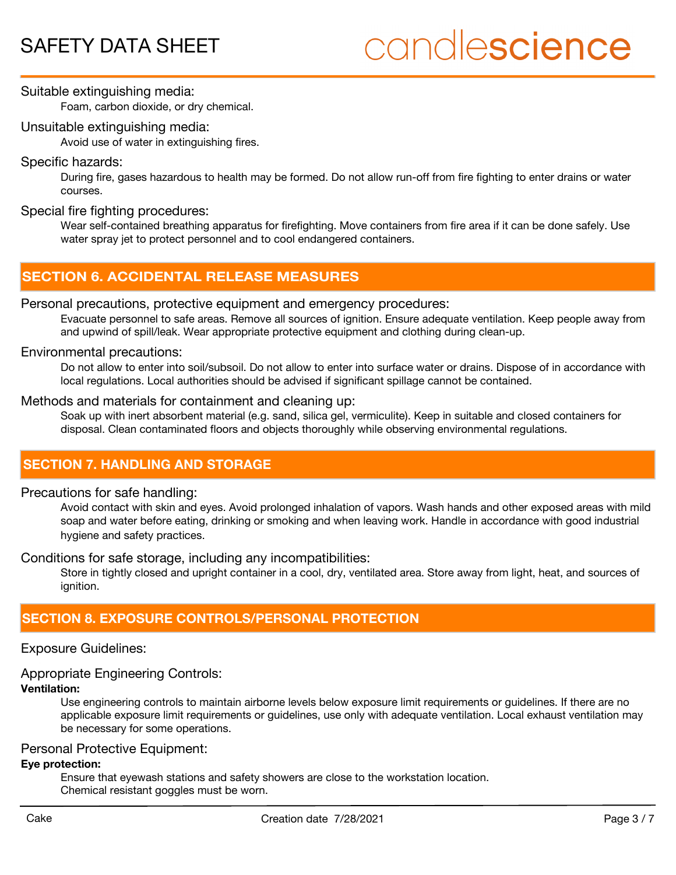# candlescience

Suitable extinguishing media:

Foam, carbon dioxide, or dry chemical.

#### Unsuitable extinguishing media:

Avoid use of water in extinguishing fires.

#### Specific hazards:

During fire, gases hazardous to health may be formed. Do not allow run-off from fire fighting to enter drains or water courses.

#### Special fire fighting procedures:

Wear self-contained breathing apparatus for firefighting. Move containers from fire area if it can be done safely. Use water spray jet to protect personnel and to cool endangered containers.

# **SECTION 6. ACCIDENTAL RELEASE MEASURES**

#### Personal precautions, protective equipment and emergency procedures:

Evacuate personnel to safe areas. Remove all sources of ignition. Ensure adequate ventilation. Keep people away from and upwind of spill/leak. Wear appropriate protective equipment and clothing during clean-up.

#### Environmental precautions:

Do not allow to enter into soil/subsoil. Do not allow to enter into surface water or drains. Dispose of in accordance with local regulations. Local authorities should be advised if significant spillage cannot be contained.

#### Methods and materials for containment and cleaning up:

Soak up with inert absorbent material (e.g. sand, silica gel, vermiculite). Keep in suitable and closed containers for disposal. Clean contaminated floors and objects thoroughly while observing environmental regulations.

# **SECTION 7. HANDLING AND STORAGE**

#### Precautions for safe handling:

Avoid contact with skin and eyes. Avoid prolonged inhalation of vapors. Wash hands and other exposed areas with mild soap and water before eating, drinking or smoking and when leaving work. Handle in accordance with good industrial hygiene and safety practices.

#### Conditions for safe storage, including any incompatibilities:

Store in tightly closed and upright container in a cool, dry, ventilated area. Store away from light, heat, and sources of ianition.

# **SECTION 8. EXPOSURE CONTROLS/PERSONAL PROTECTION**

#### Exposure Guidelines:

## Appropriate Engineering Controls:

## **Ventilation:**

Use engineering controls to maintain airborne levels below exposure limit requirements or guidelines. If there are no applicable exposure limit requirements or guidelines, use only with adequate ventilation. Local exhaust ventilation may be necessary for some operations.

#### Personal Protective Equipment:

#### **Eye protection:**

Ensure that eyewash stations and safety showers are close to the workstation location. Chemical resistant goggles must be worn.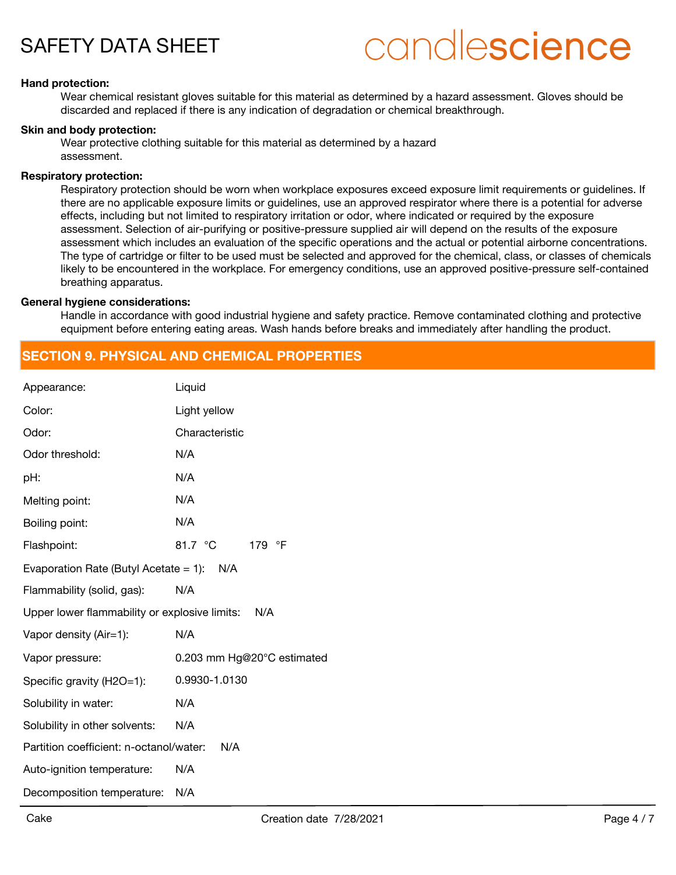# candlescience

#### **Hand protection:**

Wear chemical resistant gloves suitable for this material as determined by a hazard assessment. Gloves should be discarded and replaced if there is any indication of degradation or chemical breakthrough.

#### **Skin and body protection:**

Wear protective clothing suitable for this material as determined by a hazard assessment.

#### **Respiratory protection:**

Respiratory protection should be worn when workplace exposures exceed exposure limit requirements or guidelines. If there are no applicable exposure limits or guidelines, use an approved respirator where there is a potential for adverse effects, including but not limited to respiratory irritation or odor, where indicated or required by the exposure assessment. Selection of air-purifying or positive-pressure supplied air will depend on the results of the exposure assessment which includes an evaluation of the specific operations and the actual or potential airborne concentrations. The type of cartridge or filter to be used must be selected and approved for the chemical, class, or classes of chemicals likely to be encountered in the workplace. For emergency conditions, use an approved positive-pressure self-contained breathing apparatus.

#### **General hygiene considerations:**

Handle in accordance with good industrial hygiene and safety practice. Remove contaminated clothing and protective equipment before entering eating areas. Wash hands before breaks and immediately after handling the product.

### **SECTION 9. PHYSICAL AND CHEMICAL PROPERTIES**

| Liquid                                               |  |  |
|------------------------------------------------------|--|--|
| Light yellow                                         |  |  |
| Characteristic                                       |  |  |
| N/A                                                  |  |  |
| N/A                                                  |  |  |
| N/A                                                  |  |  |
| N/A                                                  |  |  |
| 81.7 °C<br>179<br>$\circ$ F                          |  |  |
| Evaporation Rate (Butyl Acetate = 1): $N/A$          |  |  |
| N/A                                                  |  |  |
| Upper lower flammability or explosive limits:<br>N/A |  |  |
| N/A                                                  |  |  |
| 0.203 mm Hg@20°C estimated                           |  |  |
| 0.9930-1.0130                                        |  |  |
| N/A                                                  |  |  |
| N/A                                                  |  |  |
| Partition coefficient: n-octanol/water:<br>N/A       |  |  |
| N/A                                                  |  |  |
| N/A                                                  |  |  |
|                                                      |  |  |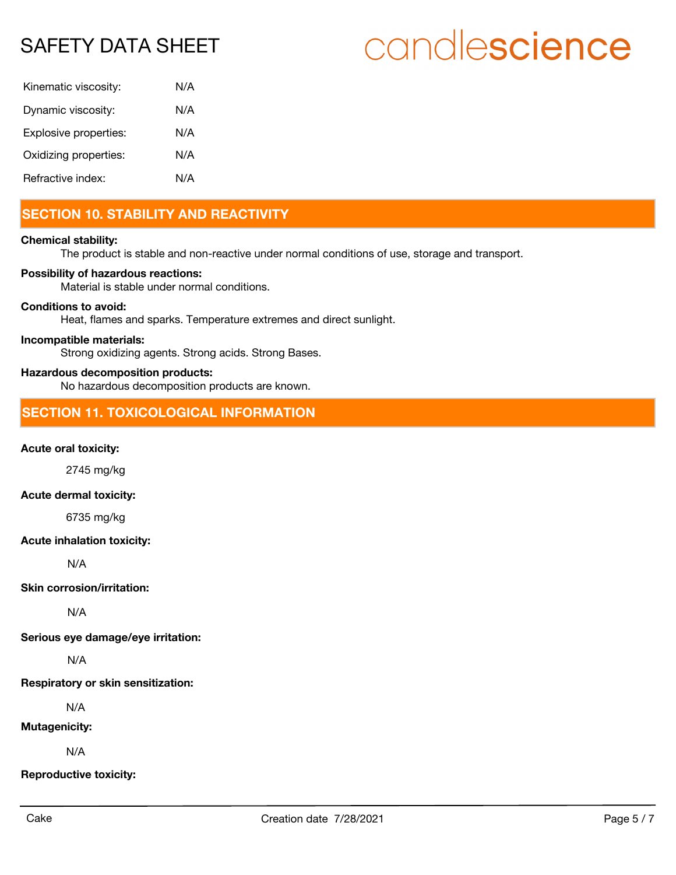# candlescience

| Kinematic viscosity:  | N/A |
|-----------------------|-----|
| Dynamic viscosity:    | N/A |
| Explosive properties: | N/A |
| Oxidizing properties: | N/A |
| Refractive index:     | N/A |

# **SECTION 10. STABILITY AND REACTIVITY**

#### **Chemical stability:**

The product is stable and non-reactive under normal conditions of use, storage and transport.

#### **Possibility of hazardous reactions:**

Material is stable under normal conditions.

#### **Conditions to avoid:**

Heat, flames and sparks. Temperature extremes and direct sunlight.

#### **Incompatible materials:**

Strong oxidizing agents. Strong acids. Strong Bases.

#### **Hazardous decomposition products:**

No hazardous decomposition products are known.

## **SECTION 11. TOXICOLOGICAL INFORMATION**

#### **Acute oral toxicity:**

2745 mg/kg

#### **Acute dermal toxicity:**

6735 mg/kg

#### **Acute inhalation toxicity:**

N/A

#### **Skin corrosion/irritation:**

N/A

**Serious eye damage/eye irritation:**

N/A

**Respiratory or skin sensitization:**

N/A

#### **Mutagenicity:**

N/A

**Reproductive toxicity:**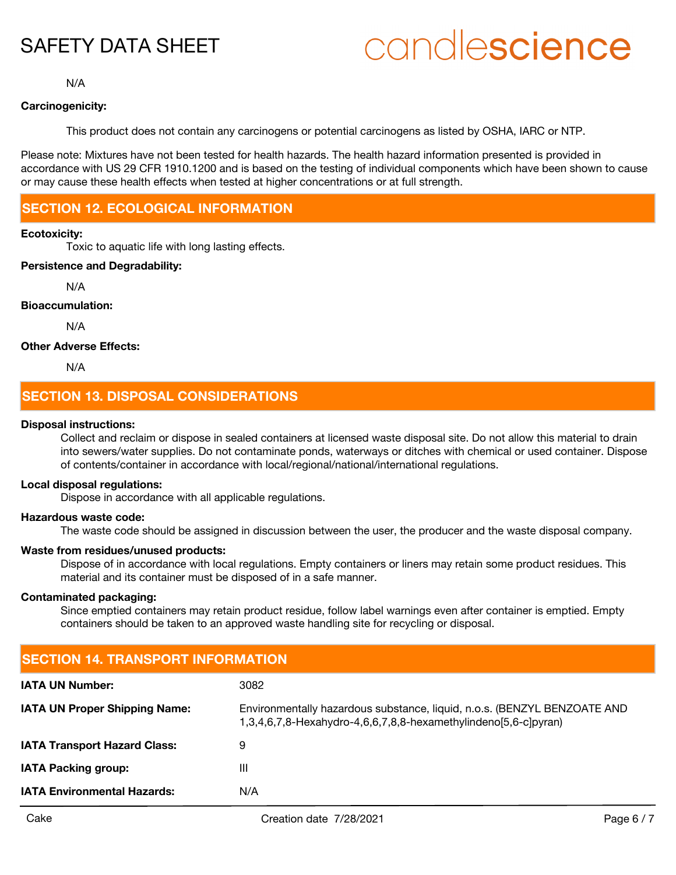# candlescience

N/A

#### **Carcinogenicity:**

This product does not contain any carcinogens or potential carcinogens as listed by OSHA, IARC or NTP.

Please note: Mixtures have not been tested for health hazards. The health hazard information presented is provided in accordance with US 29 CFR 1910.1200 and is based on the testing of individual components which have been shown to cause or may cause these health effects when tested at higher concentrations or at full strength.

# **SECTION 12. ECOLOGICAL INFORMATION**

#### **Ecotoxicity:**

Toxic to aquatic life with long lasting effects.

#### **Persistence and Degradability:**

N/A

#### **Bioaccumulation:**

N/A

#### **Other Adverse Effects:**

N/A

## **SECTION 13. DISPOSAL CONSIDERATIONS**

#### **Disposal instructions:**

Collect and reclaim or dispose in sealed containers at licensed waste disposal site. Do not allow this material to drain into sewers/water supplies. Do not contaminate ponds, waterways or ditches with chemical or used container. Dispose of contents/container in accordance with local/regional/national/international regulations.

#### **Local disposal regulations:**

Dispose in accordance with all applicable regulations.

#### **Hazardous waste code:**

The waste code should be assigned in discussion between the user, the producer and the waste disposal company.

#### **Waste from residues/unused products:**

Dispose of in accordance with local regulations. Empty containers or liners may retain some product residues. This material and its container must be disposed of in a safe manner.

#### **Contaminated packaging:**

Since emptied containers may retain product residue, follow label warnings even after container is emptied. Empty containers should be taken to an approved waste handling site for recycling or disposal.

| <b>SECTION 14. TRANSPORT INFORMATION</b> |                                                                                                                                             |  |
|------------------------------------------|---------------------------------------------------------------------------------------------------------------------------------------------|--|
| <b>IATA UN Number:</b>                   | 3082                                                                                                                                        |  |
| <b>IATA UN Proper Shipping Name:</b>     | Environmentally hazardous substance, liquid, n.o.s. (BENZYL BENZOATE AND<br>1,3,4,6,7,8-Hexahydro-4,6,6,7,8,8-hexamethylindeno[5,6-c]pyran) |  |
| <b>IATA Transport Hazard Class:</b>      | 9                                                                                                                                           |  |
| <b>IATA Packing group:</b>               | Ш                                                                                                                                           |  |
| <b>IATA Environmental Hazards:</b>       | N/A                                                                                                                                         |  |